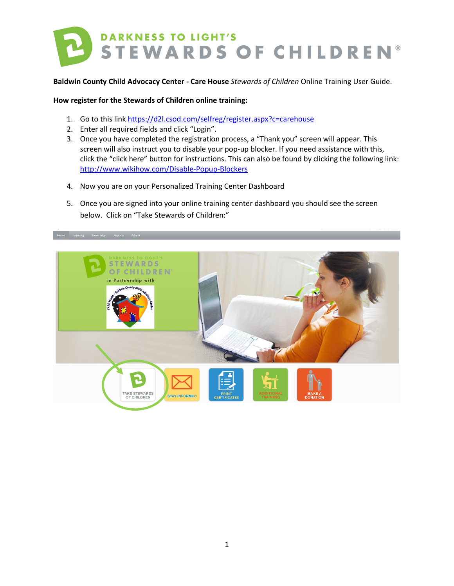

**Baldwin County Child Advocacy Center - Care House** *Stewards of Children* Online Training User Guide.

**How register for the Stewards of Children online training:**

- 1. Go to this link<https://d2l.csod.com/selfreg/register.aspx?c=carehouse>
- 2. Enter all required fields and click "Login".
- 3. Once you have completed the registration process, a "Thank you" screen will appear. This screen will also instruct you to disable your pop-up blocker. If you need assistance with this, click the "click here" button for instructions. This can also be found by clicking the following link: <http://www.wikihow.com/Disable-Popup-Blockers>
- 4. Now you are on your Personalized Training Center Dashboard
- 5. Once you are signed into your online training center dashboard you should see the screen below. Click on "Take Stewards of Children:"

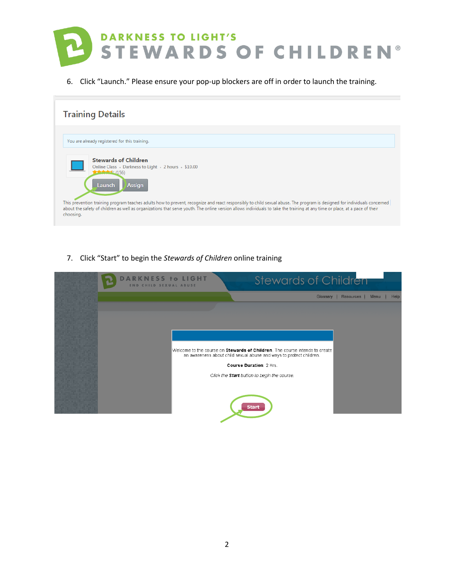

6. Click "Launch." Please ensure your pop-up blockers are off in order to launch the training.

| <b>Training Details</b>                                                                                                                                                                                                                                                                                                                                                                                                                                                                     |
|---------------------------------------------------------------------------------------------------------------------------------------------------------------------------------------------------------------------------------------------------------------------------------------------------------------------------------------------------------------------------------------------------------------------------------------------------------------------------------------------|
| You are already registered for this training.                                                                                                                                                                                                                                                                                                                                                                                                                                               |
| <b>Stewards of Children</b><br>Online Class Darkness to Light 2 hours \$10.00<br>$+ 156$<br>Launch<br><b>Assign</b><br>This prevention training program teaches adults how to prevent, recognize and react responsibly to child sexual abuse. The program is designed for individuals concerned<br>about the safety of children as well as organizations that serve youth. The online version allows individuals to take the training at any time or place, at a pace of their<br>choosing. |

7. Click "Start" to begin the *Stewards of Children* online training

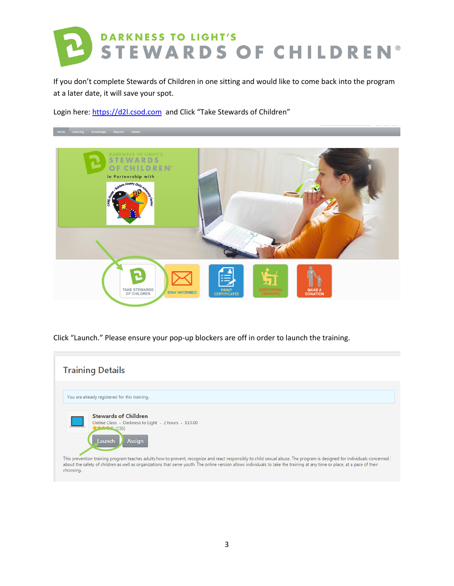

If you don't complete Stewards of Children in one sitting and would like to come back into the program at a later date, it will save your spot.

Login here[: https://d2l.csod.com](https://d2l.csod.com/) and Click "Take Stewards of Children"



Click "Launch." Please ensure your pop-up blockers are off in order to launch the training.

| <b>Training Details</b>                                                                                                                                                                                                                                                                                                                                                                                                                                                                     |  |
|---------------------------------------------------------------------------------------------------------------------------------------------------------------------------------------------------------------------------------------------------------------------------------------------------------------------------------------------------------------------------------------------------------------------------------------------------------------------------------------------|--|
| You are already registered for this training.                                                                                                                                                                                                                                                                                                                                                                                                                                               |  |
| <b>Stewards of Children</b><br>Online Class Darkness to Light 2 hours \$10.00<br>$+ 156$<br>Launch<br><b>Assign</b><br>This prevention training program teaches adults how to prevent, recognize and react responsibly to child sexual abuse. The program is designed for individuals concerned<br>about the safety of children as well as organizations that serve youth. The online version allows individuals to take the training at any time or place, at a pace of their<br>choosing. |  |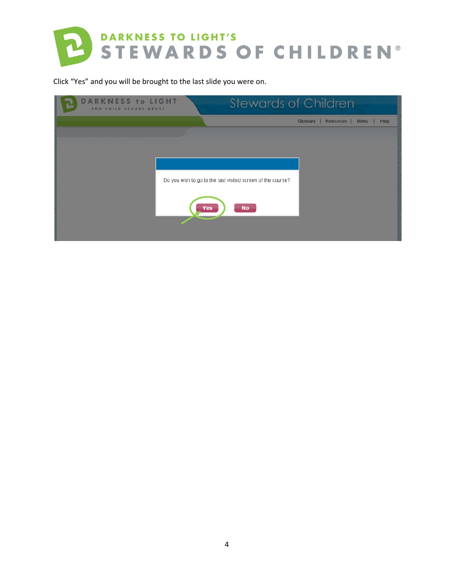

Click "Yes" and you will be brought to the last slide you were on.

| <b>DARKNESS to LIGHT</b><br><b>END CHILD SEXUAL ABUSE</b> | <b>Stewards of Children</b>                                 |                                           |
|-----------------------------------------------------------|-------------------------------------------------------------|-------------------------------------------|
|                                                           |                                                             | Glossary  <br>Resources  <br>Menu<br>Help |
|                                                           |                                                             |                                           |
|                                                           |                                                             |                                           |
|                                                           |                                                             |                                           |
|                                                           |                                                             |                                           |
|                                                           | Do you wish to go to the last visited screen of the course? |                                           |
|                                                           |                                                             |                                           |
|                                                           | <b>Yes</b><br>No                                            |                                           |
|                                                           |                                                             |                                           |
|                                                           |                                                             |                                           |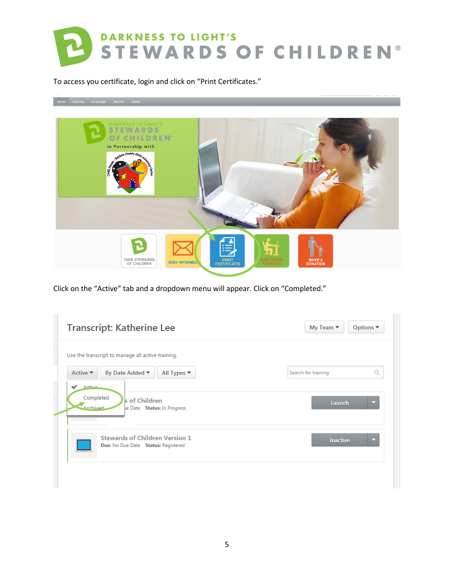

To access you certificate, login and click on "Print Certificates."



Click on the "Active" tab and a dropdown menu will appear. Click on "Completed."

|                              | Use the transcript to manage all active training.                            |                     |
|------------------------------|------------------------------------------------------------------------------|---------------------|
| Active $\blacktriangledown$  | By Date Added ▼<br>All Types $\blacktriangledown$                            | Search for training |
| Completed<br><b>Archived</b> | s of Children<br>le Date Status: In Progress                                 | Launch              |
|                              | <b>Stewards of Children Version 1</b><br>Due: No Due Date Status: Registered | <b>Inactive</b>     |